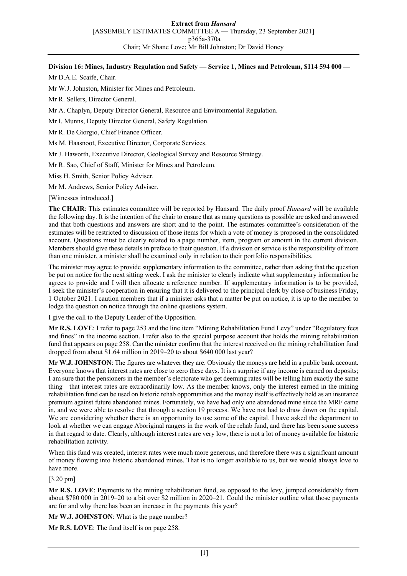## **Division 16: Mines, Industry Regulation and Safety — Service 1, Mines and Petroleum, \$114 594 000 —**

Mr D.A.E. Scaife, Chair.

Mr W.J. Johnston, Minister for Mines and Petroleum.

Mr R. Sellers, Director General.

Mr A. Chaplyn, Deputy Director General, Resource and Environmental Regulation.

Mr I. Munns, Deputy Director General, Safety Regulation.

Mr R. De Giorgio, Chief Finance Officer.

Ms M. Haasnoot, Executive Director, Corporate Services.

Mr J. Haworth, Executive Director, Geological Survey and Resource Strategy.

Mr R. Sao, Chief of Staff, Minister for Mines and Petroleum.

Miss H. Smith, Senior Policy Adviser.

Mr M. Andrews, Senior Policy Adviser.

[Witnesses introduced.]

**The CHAIR**: This estimates committee will be reported by Hansard. The daily proof *Hansard* will be available the following day. It is the intention of the chair to ensure that as many questions as possible are asked and answered and that both questions and answers are short and to the point. The estimates committee's consideration of the estimates will be restricted to discussion of those items for which a vote of money is proposed in the consolidated account. Questions must be clearly related to a page number, item, program or amount in the current division. Members should give these details in preface to their question. If a division or service is the responsibility of more than one minister, a minister shall be examined only in relation to their portfolio responsibilities.

The minister may agree to provide supplementary information to the committee, rather than asking that the question be put on notice for the next sitting week. I ask the minister to clearly indicate what supplementary information he agrees to provide and I will then allocate a reference number. If supplementary information is to be provided, I seek the minister's cooperation in ensuring that it is delivered to the principal clerk by close of business Friday, 1 October 2021. I caution members that if a minister asks that a matter be put on notice, it is up to the member to lodge the question on notice through the online questions system.

I give the call to the Deputy Leader of the Opposition.

**Mr R.S. LOVE**: I refer to page 253 and the line item "Mining Rehabilitation Fund Levy" under "Regulatory fees and fines" in the income section. I refer also to the special purpose account that holds the mining rehabilitation fund that appears on page 258. Can the minister confirm that the interest received on the mining rehabilitation fund dropped from about \$1.64 million in 2019–20 to about \$640 000 last year?

**Mr W.J. JOHNSTON**: The figures are whatever they are. Obviously the moneys are held in a public bank account. Everyone knows that interest rates are close to zero these days. It is a surprise if any income is earned on deposits; I am sure that the pensioners in the member's electorate who get deeming rates will be telling him exactly the same thing—that interest rates are extraordinarily low. As the member knows, only the interest earned in the mining rehabilitation fund can be used on historic rehab opportunities and the money itself is effectively held as an insurance premium against future abandoned mines. Fortunately, we have had only one abandoned mine since the MRF came in, and we were able to resolve that through a section 19 process. We have not had to draw down on the capital. We are considering whether there is an opportunity to use some of the capital. I have asked the department to look at whether we can engage Aboriginal rangers in the work of the rehab fund, and there has been some success in that regard to date. Clearly, although interest rates are very low, there is not a lot of money available for historic rehabilitation activity.

When this fund was created, interest rates were much more generous, and therefore there was a significant amount of money flowing into historic abandoned mines. That is no longer available to us, but we would always love to have more.

[3.20 pm]

**Mr R.S. LOVE**: Payments to the mining rehabilitation fund, as opposed to the levy, jumped considerably from about \$780 000 in 2019–20 to a bit over \$2 million in 2020–21. Could the minister outline what those payments are for and why there has been an increase in the payments this year?

**Mr W.J. JOHNSTON**: What is the page number?

**Mr R.S. LOVE**: The fund itself is on page 258.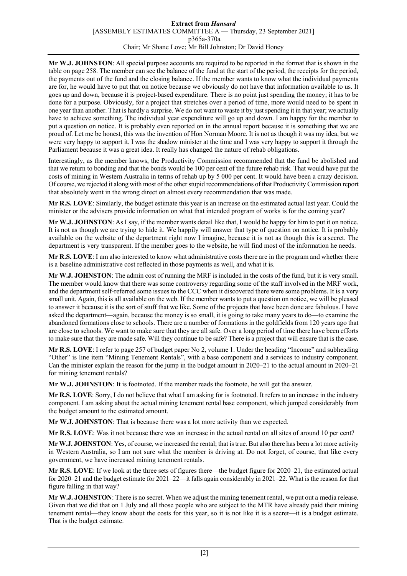## **Extract from** *Hansard* [ASSEMBLY ESTIMATES COMMITTEE A — Thursday, 23 September 2021] p365a-370a Chair; Mr Shane Love; Mr Bill Johnston; Dr David Honey

**Mr W.J. JOHNSTON**: All special purpose accounts are required to be reported in the format that is shown in the table on page 258. The member can see the balance of the fund at the start of the period, the receipts for the period, the payments out of the fund and the closing balance. If the member wants to know what the individual payments are for, he would have to put that on notice because we obviously do not have that information available to us. It goes up and down, because it is project-based expenditure. There is no point just spending the money; it has to be done for a purpose. Obviously, for a project that stretches over a period of time, more would need to be spent in one year than another. That is hardly a surprise. We do not want to waste it by just spending it in that year; we actually have to achieve something. The individual year expenditure will go up and down. I am happy for the member to put a question on notice. It is probably even reported on in the annual report because it is something that we are proud of. Let me be honest, this was the invention of Hon Norman Moore. It is not as though it was my idea, but we were very happy to support it. I was the shadow minister at the time and I was very happy to support it through the Parliament because it was a great idea. It really has changed the nature of rehab obligations.

Interestingly, as the member knows, the Productivity Commission recommended that the fund be abolished and that we return to bonding and that the bonds would be 100 per cent of the future rehab risk. That would have put the costs of mining in Western Australia in terms of rehab up by 5 000 per cent. It would have been a crazy decision. Of course, we rejected it along with most of the other stupid recommendations of that Productivity Commission report that absolutely went in the wrong direct on almost every recommendation that was made.

**Mr R.S. LOVE**: Similarly, the budget estimate this year is an increase on the estimated actual last year. Could the minister or the advisers provide information on what that intended program of works is for the coming year?

**Mr W.J. JOHNSTON**: As I say, if the member wants detail like that, I would be happy for him to put it on notice. It is not as though we are trying to hide it. We happily will answer that type of question on notice. It is probably available on the website of the department right now I imagine, because it is not as though this is a secret. The department is very transparent. If the member goes to the website, he will find most of the information he needs.

**Mr R.S. LOVE**: I am also interested to know what administrative costs there are in the program and whether there is a baseline administrative cost reflected in those payments as well, and what it is.

**Mr W.J. JOHNSTON**: The admin cost of running the MRF is included in the costs of the fund, but it is very small. The member would know that there was some controversy regarding some of the staff involved in the MRF work, and the department self-referred some issues to the CCC when it discovered there were some problems. It is a very small unit. Again, this is all available on the web. If the member wants to put a question on notice, we will be pleased to answer it because it is the sort of stuff that we like. Some of the projects that have been done are fabulous. I have asked the department—again, because the money is so small, it is going to take many years to do—to examine the abandoned formations close to schools. There are a number of formations in the goldfields from 120 years ago that are close to schools. We want to make sure that they are all safe. Over a long period of time there have been efforts to make sure that they are made safe. Will they continue to be safe? There is a project that will ensure that is the case.

**Mr R.S. LOVE**: I refer to page 257 of budget paper No 2, volume 1. Under the heading "Income" and subheading "Other" is line item "Mining Tenement Rentals", with a base component and a services to industry component. Can the minister explain the reason for the jump in the budget amount in 2020–21 to the actual amount in 2020–21 for mining tenement rentals?

**Mr W.J. JOHNSTON**: It is footnoted. If the member reads the footnote, he will get the answer.

**Mr R.S. LOVE**: Sorry, I do not believe that what I am asking for is footnoted. It refers to an increase in the industry component. I am asking about the actual mining tenement rental base component, which jumped considerably from the budget amount to the estimated amount.

**Mr W.J. JOHNSTON**: That is because there was a lot more activity than we expected.

**Mr R.S. LOVE**: Was it not because there was an increase in the actual rental on all sites of around 10 per cent?

**Mr W.J. JOHNSTON**: Yes, of course, we increased the rental; that is true. But also there has been a lot more activity in Western Australia, so I am not sure what the member is driving at. Do not forget, of course, that like every government, we have increased mining tenement rentals.

**Mr R.S. LOVE**: If we look at the three sets of figures there—the budget figure for 2020–21, the estimated actual for 2020–21 and the budget estimate for 2021–22—it falls again considerably in 2021–22. What is the reason for that figure falling in that way?

**Mr W.J. JOHNSTON**: There is no secret. When we adjust the mining tenement rental, we put out a media release. Given that we did that on 1 July and all those people who are subject to the MTR have already paid their mining tenement rental—they know about the costs for this year, so it is not like it is a secret—it is a budget estimate. That is the budget estimate.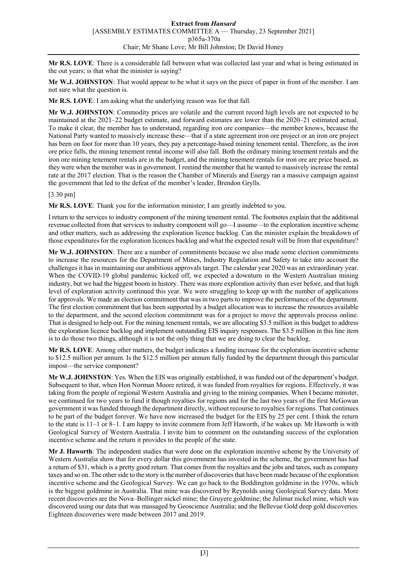**Mr R.S. LOVE**: There is a considerable fall between what was collected last year and what is being estimated in the out years; is that what the minister is saying?

**Mr W.J. JOHNSTON**: That would appear to be what it says on the piece of paper in front of the member. I am not sure what the question is.

**Mr R.S. LOVE**: I am asking what the underlying reason was for that fall.

**Mr W.J. JOHNSTON**: Commodity prices are volatile and the current record high levels are not expected to be maintained at the 2021–22 budget estimate, and forward estimates are lower than the 2020–21 estimated actual. To make it clear, the member has to understand, regarding iron ore companies—the member knows, because the National Party wanted to massively increase these—that if a state agreement iron ore project or an iron ore project has been on foot for more than 10 years, they pay a percentage-based mining tenement rental. Therefore, as the iron ore price falls, the mining tenement rental income will also fall. Both the ordinary mining tenement rentals and the iron ore mining tenement rentals are in the budget, and the mining tenement rentals for iron ore are price based, as they were when the member was in government. I remind the member that he wanted to massively increase the rental rate at the 2017 election. That is the reason the Chamber of Minerals and Energy ran a massive campaign against the government that led to the defeat of the member's leader, Brendon Grylls.

[3.30 pm]

**Mr R.S. LOVE**: Thank you for the information minister; I am greatly indebted to you.

I return to the services to industry component of the mining tenement rental. The footnotes explain that the additional revenue collected from that services to industry component will go—I assume—to the exploration incentive scheme and other matters, such as addressing the exploration licence backlog. Can the minister explain the breakdown of those expenditures for the exploration licences backlog and what the expected result will be from that expenditure?

**Mr W.J. JOHNSTON**: There are a number of commitments because we also made some election commitments to increase the resources for the Department of Mines, Industry Regulation and Safety to take into account the challenges it has in maintaining our ambitious approvals target. The calendar year 2020 was an extraordinary year. When the COVID-19 global pandemic kicked off, we expected a downturn in the Western Australian mining industry, but we had the biggest boom in history. There was more exploration activity than ever before, and that high level of exploration activity continued this year. We were struggling to keep up with the number of applications for approvals. We made an election commitment that was in two parts to improve the performance of the department. The first election commitment that has been supported by a budget allocation was to increase the resources available to the department, and the second election commitment was for a project to move the approvals process online. That is designed to help out. For the mining tenement rentals, we are allocating \$3.5 million in this budget to address the exploration licence backlog and implement outstanding EIS inquiry responses. The \$3.5 million in this line item is to do those two things, although it is not the only thing that we are doing to clear the backlog.

**Mr R.S. LOVE**: Among other matters, the budget indicates a funding increase for the exploration incentive scheme to \$12.5 million per annum. Is the \$12.5 million per annum fully funded by the department through this particular impost—the service component?

**Mr W.J. JOHNSTON**: Yes. When the EIS was originally established, it was funded out of the department's budget. Subsequent to that, when Hon Norman Moore retired, it was funded from royalties for regions. Effectively, it was taking from the people of regional Western Australia and giving to the mining companies. When I became minister, we continued for two years to fund it though royalties for regions and for the last two years of the first McGowan government it was funded through the department directly, without recourse to royalties for regions. That continues to be part of the budget forever. We have now increased the budget for the EIS by 25 per cent. I think the return to the state is 11–1 or 8–1. I am happy to invite comment from Jeff Haworth, if he wakes up. Mr Haworth is with Geological Survey of Western Australia. I invite him to comment on the outstanding success of the exploration incentive scheme and the return it provides to the people of the state.

**Mr J. Haworth**: The independent studies that were done on the exploration incentive scheme by the University of Western Australia show that for every dollar this government has invested in the scheme, the government has had a return of \$31, which is a pretty good return. That comes from the royalties and the jobs and taxes, such as company taxes and so on. The other side to the story is the number of discoveries that have been made because of the exploration incentive scheme and the Geological Survey. We can go back to the Boddington goldmine in the 1970s, which is the biggest goldmine in Australia. That mine was discovered by Reynolds using Geological Survey data. More recent discoveries are the Nova–Bollinger nickel mine; the Gruyere goldmine; the Julimar nickel mine, which was discovered using our data that was massaged by Geoscience Australia; and the Bellevue Gold deep gold discoveries. Eighteen discoveries were made between 2017 and 2019.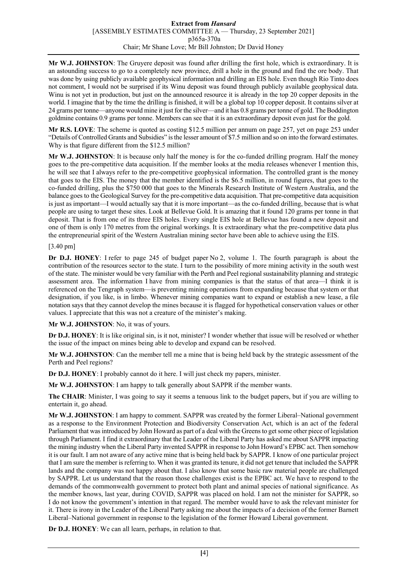**Mr W.J. JOHNSTON**: The Gruyere deposit was found after drilling the first hole, which is extraordinary. It is an astounding success to go to a completely new province, drill a hole in the ground and find the ore body. That was done by using publicly available geophysical information and drilling an EIS hole. Even though Rio Tinto does not comment, I would not be surprised if its Winu deposit was found through publicly available geophysical data. Winu is not yet in production, but just on the announced resource it is already in the top 20 copper deposits in the world. I imagine that by the time the drilling is finished, it will be a global top 10 copper deposit. It contains silver at 24 grams per tonne—anyone would mine it just for the silver—and it has 0.8 grams per tonne of gold. The Boddington goldmine contains 0.9 grams per tonne. Members can see that it is an extraordinary deposit even just for the gold.

**Mr R.S. LOVE**: The scheme is quoted as costing \$12.5 million per annum on page 257, yet on page 253 under "Details of Controlled Grants and Subsidies" is the lesser amount of \$7.5 million and so on into the forward estimates. Why is that figure different from the \$12.5 million?

**Mr W.J. JOHNSTON**: It is because only half the money is for the co-funded drilling program. Half the money goes to the pre-competitive data acquisition. If the member looks at the media releases whenever I mention this, he will see that I always refer to the pre-competitive geophysical information. The controlled grant is the money that goes to the EIS. The money that the member identified is the \$6.5 million, in round figures, that goes to the co-funded drilling, plus the \$750 000 that goes to the Minerals Research Institute of Western Australia, and the balance goes to the Geological Survey for the pre-competitive data acquisition. That pre-competitive data acquisition is just as important—I would actually say that it is more important—as the co-funded drilling, because that is what people are using to target these sites. Look at Bellevue Gold. It is amazing that it found 120 grams per tonne in that deposit. That is from one of its three EIS holes. Every single EIS hole at Bellevue has found a new deposit and one of them is only 170 metres from the original workings. It is extraordinary what the pre-competitive data plus the entrepreneurial spirit of the Western Australian mining sector have been able to achieve using the EIS.

## [3.40 pm]

**Dr D.J. HONEY**: I refer to page 245 of budget paper No 2, volume 1. The fourth paragraph is about the contribution of the resources sector to the state. I turn to the possibility of more mining activity in the south west of the state. The minister would be very familiar with the Perth and Peel regional sustainability planning and strategic assessment area. The information I have from mining companies is that the status of that area—I think it is referenced on the Tengraph system—is preventing mining operations from expanding because that system or that designation, if you like, is in limbo. Whenever mining companies want to expand or establish a new lease, a file notation says that they cannot develop the mines because it is flagged for hypothetical conservation values or other values. I appreciate that this was not a creature of the minister's making.

## **Mr W.J. JOHNSTON**: No, it was of yours.

**Dr D.J. HONEY**: It is like original sin, is it not, minister? I wonder whether that issue will be resolved or whether the issue of the impact on mines being able to develop and expand can be resolved.

**Mr W.J. JOHNSTON**: Can the member tell me a mine that is being held back by the strategic assessment of the Perth and Peel regions?

**Dr D.J. HONEY**: I probably cannot do it here. I will just check my papers, minister.

**Mr W.J. JOHNSTON**: I am happy to talk generally about SAPPR if the member wants.

**The CHAIR**: Minister, I was going to say it seems a tenuous link to the budget papers, but if you are willing to entertain it, go ahead.

**Mr W.J. JOHNSTON**: I am happy to comment. SAPPR was created by the former Liberal–National government as a response to the Environment Protection and Biodiversity Conservation Act, which is an act of the federal Parliament that was introduced by John Howard as part of a deal with the Greens to get some other piece of legislation through Parliament. I find it extraordinary that the Leader of the Liberal Party has asked me about SAPPR impacting the mining industry when the Liberal Party invented SAPPR in response to John Howard's EPBC act. Then somehow it is our fault. I am not aware of any active mine that is being held back by SAPPR. I know of one particular project that I am sure the member is referring to. When it was granted its tenure, it did not get tenure that included the SAPPR lands and the company was not happy about that. I also know that some basic raw material people are challenged by SAPPR. Let us understand that the reason those challenges exist is the EPBC act. We have to respond to the demands of the commonwealth government to protect both plant and animal species of national significance. As the member knows, last year, during COVID, SAPPR was placed on hold. I am not the minister for SAPPR, so I do not know the government's intention in that regard. The member would have to ask the relevant minister for it. There is irony in the Leader of the Liberal Party asking me about the impacts of a decision of the former Barnett Liberal–National government in response to the legislation of the former Howard Liberal government.

**Dr D.J. HONEY**: We can all learn, perhaps, in relation to that.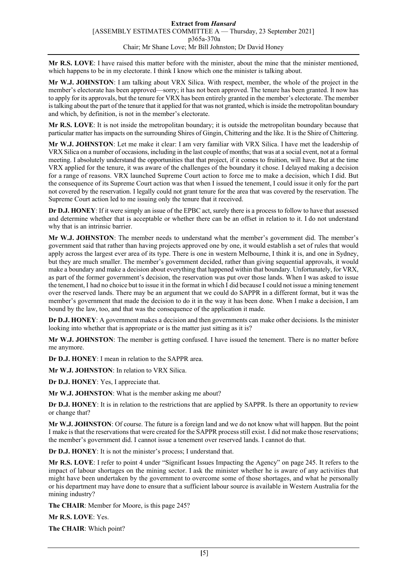**Mr R.S. LOVE**: I have raised this matter before with the minister, about the mine that the minister mentioned, which happens to be in my electorate. I think I know which one the minister is talking about.

**Mr W.J. JOHNSTON**: I am talking about VRX Silica. With respect, member, the whole of the project in the member's electorate has been approved—sorry; it has not been approved. The tenure has been granted. It now has to apply for its approvals, but the tenure for VRX has been entirely granted in the member's electorate. The member is talking about the part of the tenure that it applied for that was not granted, which is inside the metropolitan boundary and which, by definition, is not in the member's electorate.

**Mr R.S. LOVE**: It is not inside the metropolitan boundary; it is outside the metropolitan boundary because that particular matter has impacts on the surrounding Shires of Gingin, Chittering and the like. It is the Shire of Chittering.

**Mr W.J. JOHNSTON**: Let me make it clear: I am very familiar with VRX Silica. I have met the leadership of VRX Silica on a number of occasions, including in the last couple of months; that was at a social event, not at a formal meeting. I absolutely understand the opportunities that that project, if it comes to fruition, will have. But at the time VRX applied for the tenure, it was aware of the challenges of the boundary it chose. I delayed making a decision for a range of reasons. VRX launched Supreme Court action to force me to make a decision, which I did. But the consequence of its Supreme Court action was that when I issued the tenement, I could issue it only for the part not covered by the reservation. I legally could not grant tenure for the area that was covered by the reservation. The Supreme Court action led to me issuing only the tenure that it received.

**Dr D.J. HONEY**: If it were simply an issue of the EPBC act, surely there is a process to follow to have that assessed and determine whether that is acceptable or whether there can be an offset in relation to it. I do not understand why that is an intrinsic barrier.

**Mr W.J. JOHNSTON**: The member needs to understand what the member's government did. The member's government said that rather than having projects approved one by one, it would establish a set of rules that would apply across the largest ever area of its type. There is one in western Melbourne, I think it is, and one in Sydney, but they are much smaller. The member's government decided, rather than giving sequential approvals, it would make a boundary and make a decision about everything that happened within that boundary. Unfortunately, for VRX, as part of the former government's decision, the reservation was put over those lands. When I was asked to issue the tenement, I had no choice but to issue it in the format in which I did because I could not issue a mining tenement over the reserved lands. There may be an argument that we could do SAPPR in a different format, but it was the member's government that made the decision to do it in the way it has been done. When I make a decision, I am bound by the law, too, and that was the consequence of the application it made.

**Dr D.J. HONEY**: A government makes a decision and then governments can make other decisions. Is the minister looking into whether that is appropriate or is the matter just sitting as it is?

**Mr W.J. JOHNSTON**: The member is getting confused. I have issued the tenement. There is no matter before me anymore.

**Dr D.J. HONEY**: I mean in relation to the SAPPR area.

**Mr W.J. JOHNSTON**: In relation to VRX Silica.

**Dr D.J. HONEY**: Yes, I appreciate that.

**Mr W.J. JOHNSTON**: What is the member asking me about?

**Dr D.J. HONEY**: It is in relation to the restrictions that are applied by SAPPR. Is there an opportunity to review or change that?

**Mr W.J. JOHNSTON**: Of course. The future is a foreign land and we do not know what will happen. But the point I make is that the reservations that were created for the SAPPR process still exist. I did not make those reservations; the member's government did. I cannot issue a tenement over reserved lands. I cannot do that.

**Dr D.J. HONEY**: It is not the minister's process; I understand that.

**Mr R.S. LOVE**: I refer to point 4 under "Significant Issues Impacting the Agency" on page 245. It refers to the impact of labour shortages on the mining sector. I ask the minister whether he is aware of any activities that might have been undertaken by the government to overcome some of those shortages, and what he personally or his department may have done to ensure that a sufficient labour source is available in Western Australia for the mining industry?

**The CHAIR**: Member for Moore, is this page 245?

**Mr R.S. LOVE**: Yes.

**The CHAIR**: Which point?